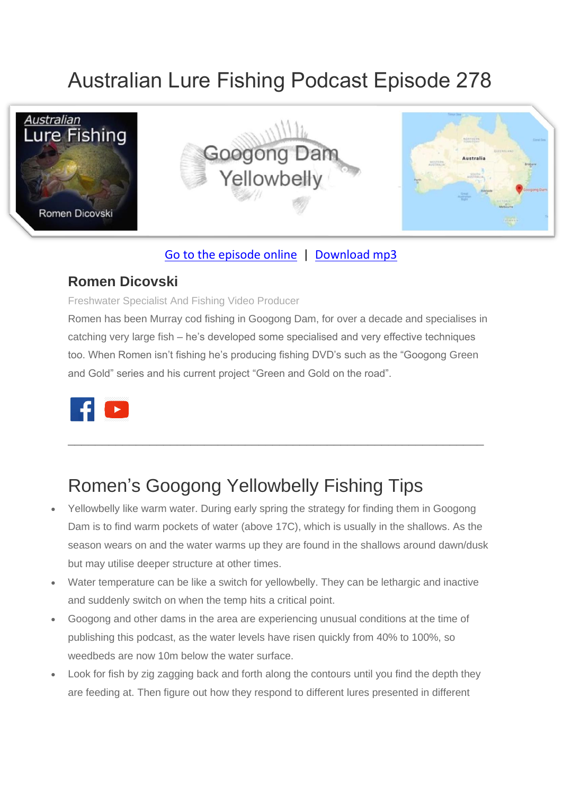# Australian Lure Fishing Podcast Episode 278



#### [Go to the episode online](https://doclures.com/cape-moreton-kingfish-jim-potts/) | [Download mp3](https://traffic.libsyn.com/secure/doclures/cape-moreton-kingfish-jim-potts.mp3)

#### **Romen Dicovski**

Freshwater Specialist And Fishing Video Producer

Romen has been Murray cod fishing in Googong Dam, for over a decade and specialises in catching very large fish – he's developed some specialised and very effective techniques too. When Romen isn't fishing he's producing fishing DVD's such as the "Googong Green and Gold" series and his current project "Green and Gold on the road".

\_\_\_\_\_\_\_\_\_\_\_\_\_\_\_\_\_\_\_\_\_\_\_\_\_\_\_\_\_\_\_\_\_\_\_\_\_\_\_\_\_\_\_\_\_\_\_\_\_\_\_\_\_\_\_\_\_\_\_\_\_



## Romen's Googong Yellowbelly Fishing Tips

- Yellowbelly like warm water. During early spring the strategy for finding them in Googong Dam is to find warm pockets of water (above 17C), which is usually in the shallows. As the season wears on and the water warms up they are found in the shallows around dawn/dusk but may utilise deeper structure at other times.
- Water temperature can be like a switch for yellowbelly. They can be lethargic and inactive and suddenly switch on when the temp hits a critical point.
- Googong and other dams in the area are experiencing unusual conditions at the time of publishing this podcast, as the water levels have risen quickly from 40% to 100%, so weedbeds are now 10m below the water surface.
- Look for fish by zig zagging back and forth along the contours until you find the depth they are feeding at. Then figure out how they respond to different lures presented in different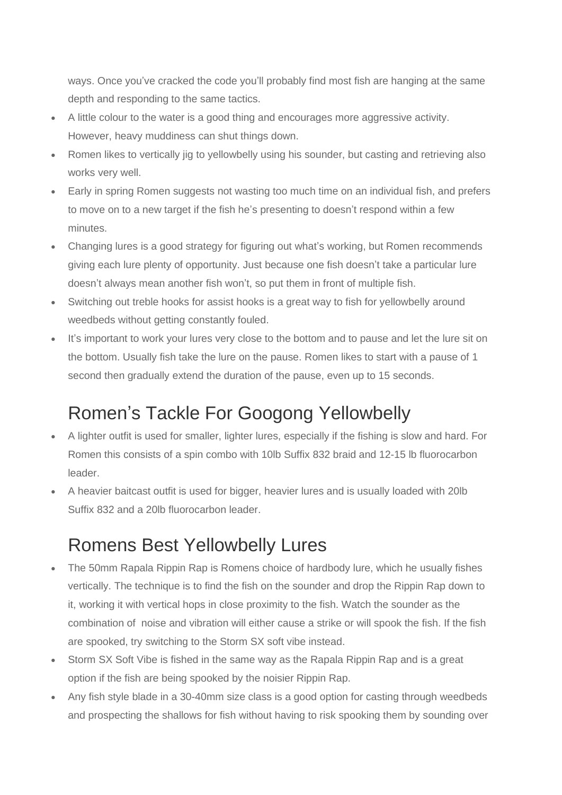ways. Once you've cracked the code you'll probably find most fish are hanging at the same depth and responding to the same tactics.

- A little colour to the water is a good thing and encourages more aggressive activity. However, heavy muddiness can shut things down.
- Romen likes to vertically jig to yellowbelly using his sounder, but casting and retrieving also works very well.
- Early in spring Romen suggests not wasting too much time on an individual fish, and prefers to move on to a new target if the fish he's presenting to doesn't respond within a few minutes.
- Changing lures is a good strategy for figuring out what's working, but Romen recommends giving each lure plenty of opportunity. Just because one fish doesn't take a particular lure doesn't always mean another fish won't, so put them in front of multiple fish.
- Switching out treble hooks for assist hooks is a great way to fish for yellowbelly around weedbeds without getting constantly fouled.
- It's important to work your lures very close to the bottom and to pause and let the lure sit on the bottom. Usually fish take the lure on the pause. Romen likes to start with a pause of 1 second then gradually extend the duration of the pause, even up to 15 seconds.

## Romen's Tackle For Googong Yellowbelly

- A lighter outfit is used for smaller, lighter lures, especially if the fishing is slow and hard. For Romen this consists of a spin combo with 10lb Suffix 832 braid and 12-15 lb fluorocarbon leader.
- A heavier baitcast outfit is used for bigger, heavier lures and is usually loaded with 20lb Suffix 832 and a 20lb fluorocarbon leader.

### Romens Best Yellowbelly Lures

- The 50mm Rapala Rippin Rap is Romens choice of hardbody lure, which he usually fishes vertically. The technique is to find the fish on the sounder and drop the Rippin Rap down to it, working it with vertical hops in close proximity to the fish. Watch the sounder as the combination of noise and vibration will either cause a strike or will spook the fish. If the fish are spooked, try switching to the Storm SX soft vibe instead.
- Storm SX Soft Vibe is fished in the same way as the Rapala Rippin Rap and is a great option if the fish are being spooked by the noisier Rippin Rap.
- Any fish style blade in a 30-40mm size class is a good option for casting through weedbeds and prospecting the shallows for fish without having to risk spooking them by sounding over